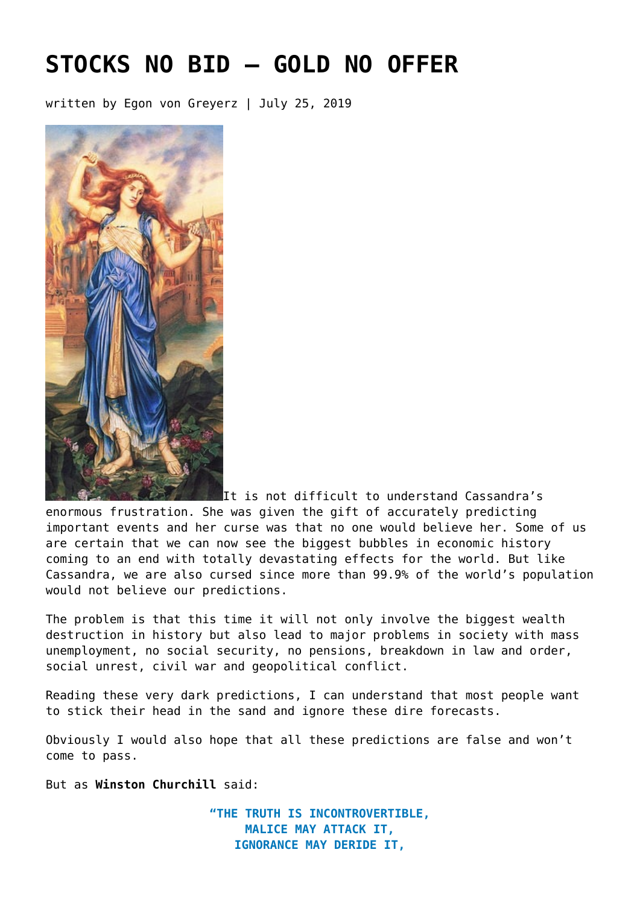# **[STOCKS NO BID – GOLD NO OFFER](https://goldswitzerland.com/stocks-no-bid-gold-no-offer/)**

written by Egon von Greyerz | July 25, 2019



It is not difficult to understand Cassandra's enormous frustration. She was given the gift of accurately predicting important events and her curse was that no one would believe her. Some of us are certain that we can now see the biggest bubbles in economic history coming to an end with totally devastating effects for the world. But like Cassandra, we are also cursed since more than 99.9% of the world's population would not believe our predictions.

The problem is that this time it will not only involve the biggest wealth destruction in history but also lead to major problems in society with mass unemployment, no social security, no pensions, breakdown in law and order, social unrest, civil war and geopolitical conflict.

Reading these very dark predictions, I can understand that most people want to stick their head in the sand and ignore these dire forecasts.

Obviously I would also hope that all these predictions are false and won't come to pass.

But as **Winston Churchill** said:

**"THE TRUTH IS INCONTROVERTIBLE, MALICE MAY ATTACK IT, IGNORANCE MAY DERIDE IT,**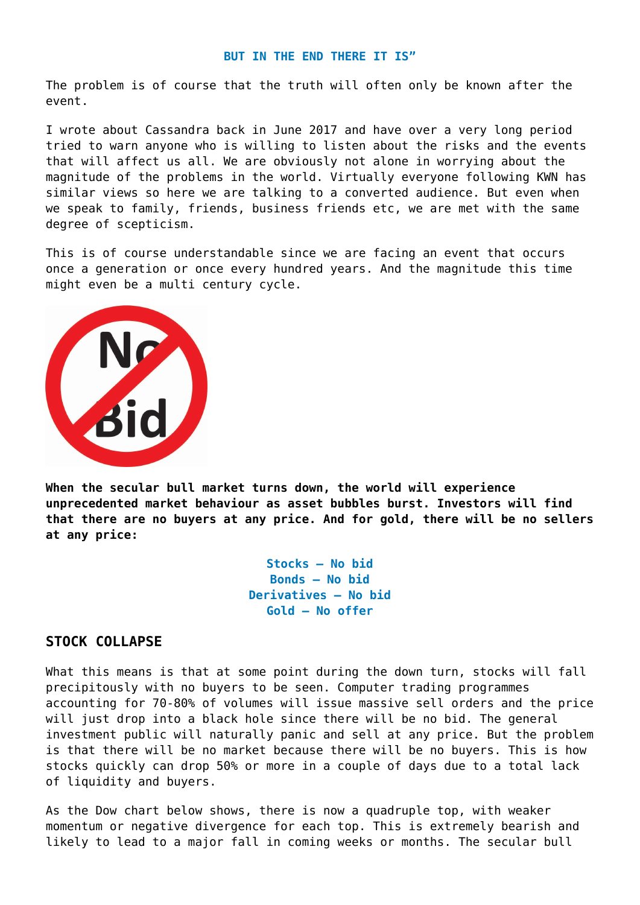#### **BUT IN THE END THERE IT IS"**

The problem is of course that the truth will often only be known after the event.

[I wrote about Cassandra](https://goldswitzerland.com/cassandra-central-banks-and-gold/) back in June 2017 and have over a very long period tried to warn anyone who is willing to listen about the risks and the events that will affect us all. We are obviously not alone in worrying about the magnitude of the problems in the world. Virtually everyone following KWN has similar views so here we are talking to a converted audience. But even when we speak to family, friends, business friends etc, we are met with the same degree of scepticism.

This is of course understandable since we are facing an event that occurs once a generation or once every hundred years. And the magnitude this time might even be a multi century cycle.



**When the secular bull market turns down, the world will experience unprecedented market behaviour as asset bubbles burst. Investors will find that there are no buyers at any price. And for gold, there will be no sellers at any price:**

> **Stocks – No bid Bonds – No bid Derivatives – No bid Gold – No offer**

#### **STOCK COLLAPSE**

What this means is that at some point during the down turn, stocks will fall precipitously with no buyers to be seen. Computer trading programmes accounting for 70-80% of volumes will issue massive sell orders and the price will just drop into a black hole since there will be no bid. The general investment public will naturally panic and sell at any price. But the problem is that there will be no market because there will be no buyers. This is how stocks quickly can drop 50% or more in a couple of days due to a total lack of liquidity and buyers.

As the Dow chart below shows, there is now a quadruple top, with weaker momentum or negative divergence for each top. This is extremely bearish and likely to lead to a major fall in coming weeks or months. The secular bull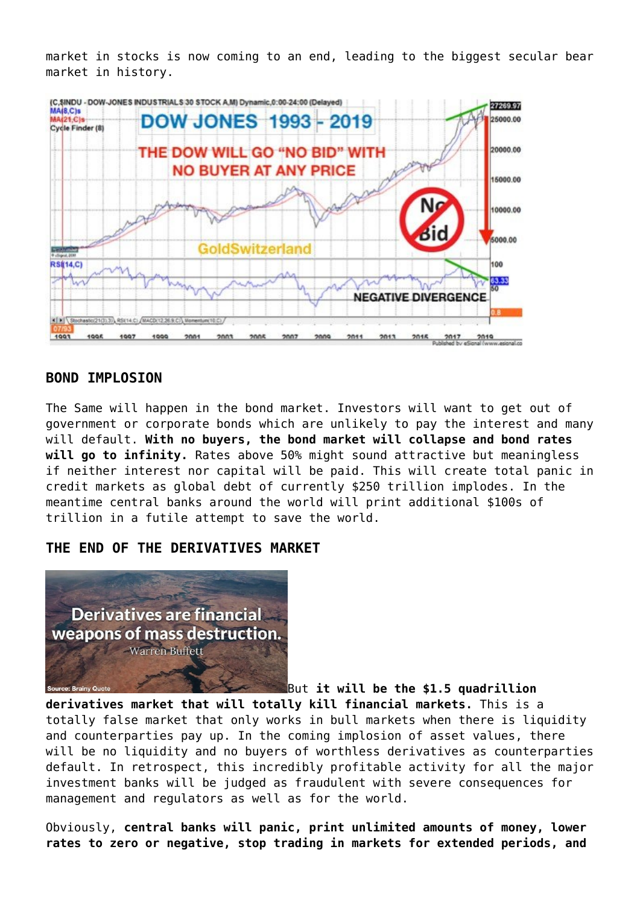market in stocks is now coming to an end, leading to the biggest secular bear market in history.



### **BOND IMPLOSION**

The Same will happen in the bond market. Investors will want to get out of government or corporate bonds which are unlikely to pay the interest and many will default. **With no buyers, the bond market will collapse and bond rates will go to infinity.** Rates above 50% might sound attractive but meaningless if neither interest nor capital will be paid. This will create total panic in credit markets as global debt of currently \$250 trillion implodes. In the meantime central banks around the world will print additional \$100s of trillion in a futile attempt to save the world.

#### **THE END OF THE DERIVATIVES MARKET**



But **it will be the \$1.5 quadrillion**

**derivatives market that will totally kill financial markets.** This is a totally false market that only works in bull markets when there is liquidity and counterparties pay up. In the coming implosion of asset values, there will be no liquidity and no buyers of worthless derivatives as counterparties default. In retrospect, this incredibly profitable activity for all the major investment banks will be judged as fraudulent with severe consequences for management and regulators as well as for the world.

Obviously, **central banks will panic, print unlimited amounts of money, lower rates to zero or negative, stop trading in markets for extended periods, and**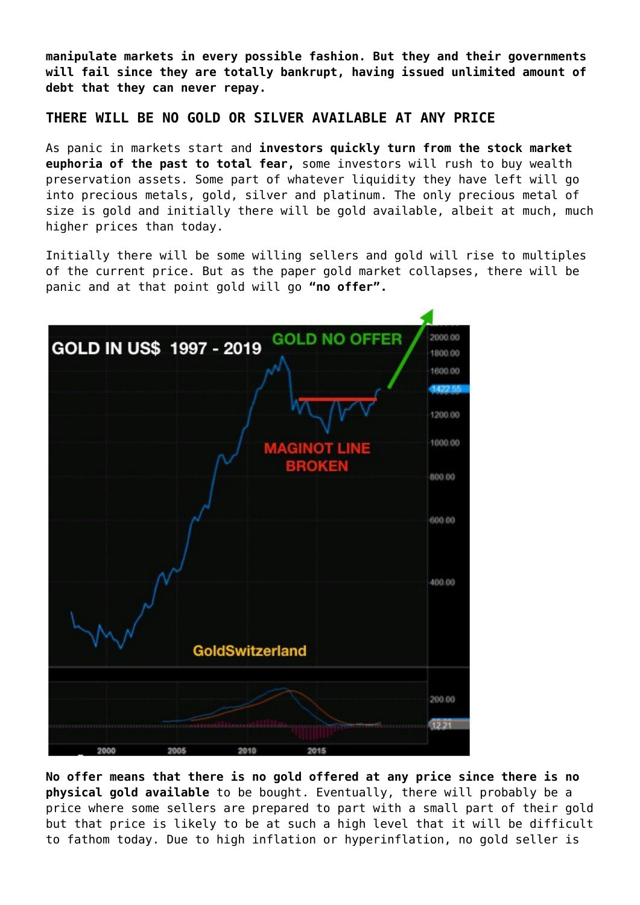**manipulate markets in every possible fashion. But they and their governments will fail since they are totally bankrupt, having issued unlimited amount of debt that they can never repay.**

#### **THERE WILL BE NO GOLD OR SILVER AVAILABLE AT ANY PRICE**

As panic in markets start and **investors quickly turn from the stock market euphoria of the past to total fear,** some investors will rush to buy wealth preservation assets. Some part of whatever liquidity they have left will go into precious metals, gold, silver and platinum. The only precious metal of size is gold and initially there will be gold available, albeit at much, much higher prices than today.

Initially there will be some willing sellers and gold will rise to multiples of the current price. But as the paper gold market collapses, there will be panic and at that point gold will go **"no offer".**



**No offer means that there is no gold offered at any price since there is no physical gold available** to be bought. Eventually, there will probably be a price where some sellers are prepared to part with a small part of their gold but that price is likely to be at such a high level that it will be difficult to fathom today. Due to high inflation or hyperinflation, no gold seller is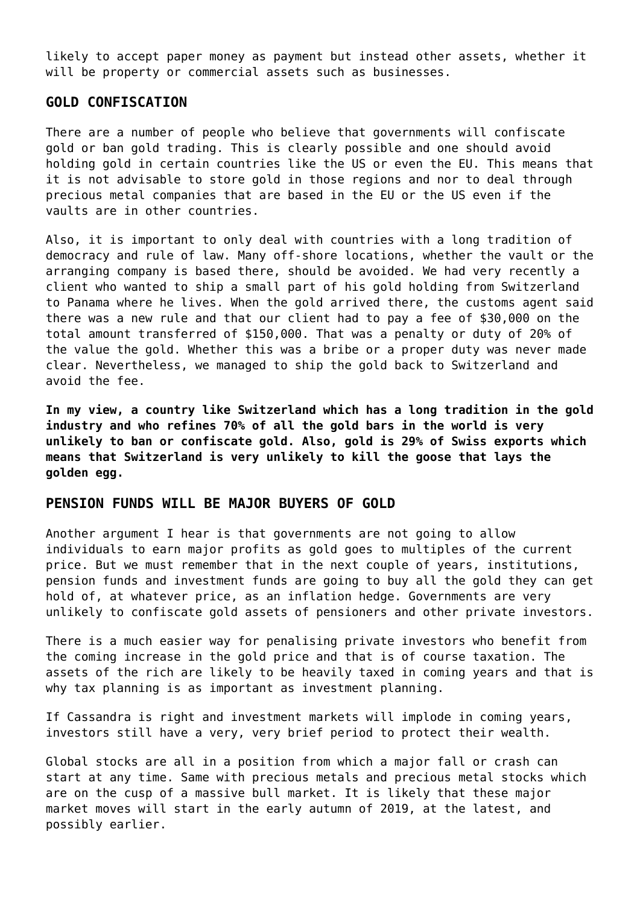likely to accept paper money as payment but instead other assets, whether it will be property or commercial assets such as businesses.

#### **GOLD CONFISCATION**

There are a number of people who believe that governments will confiscate gold or ban gold trading. This is clearly possible and one should avoid holding gold in certain countries like the US or even the EU. This means that it is not advisable to store gold in those regions and nor to deal through precious metal companies that are based in the EU or the US even if the vaults are in other countries.

Also, it is important to only deal with countries with a long tradition of democracy and rule of law. Many off-shore locations, whether the vault or the arranging company is based there, should be avoided. We had very recently a client who wanted to ship a small part of his gold holding from Switzerland to Panama where he lives. When the gold arrived there, the customs agent said there was a new rule and that our client had to pay a fee of \$30,000 on the total amount transferred of \$150,000. That was a penalty or duty of 20% of the value the gold. Whether this was a bribe or a proper duty was never made clear. Nevertheless, we managed to ship the gold back to Switzerland and avoid the fee.

**In my view, a country like Switzerland which has a long tradition in the gold industry and who refines 70% of all the gold bars in the world is very unlikely to ban or confiscate gold. Also, gold is 29% of Swiss exports which means that Switzerland is very unlikely to kill the goose that lays the golden egg.**

#### **PENSION FUNDS WILL BE MAJOR BUYERS OF GOLD**

Another argument I hear is that governments are not going to allow individuals to earn major profits as gold goes to multiples of the current price. But we must remember that in the next couple of years, institutions, pension funds and investment funds are going to buy all the gold they can get hold of, at whatever price, as an inflation hedge. Governments are very unlikely to confiscate gold assets of pensioners and other private investors.

There is a much easier way for penalising private investors who benefit from the coming increase in the gold price and that is of course taxation. The assets of the rich are likely to be heavily taxed in coming years and that is why tax planning is as important as investment planning.

If Cassandra is right and investment markets will implode in coming years, investors still have a very, very brief period to protect their wealth.

Global stocks are all in a position from which a major fall or crash can start at any time. Same with precious metals and precious metal stocks which are on the cusp of a massive bull market. It is likely that these major market moves will start in the early autumn of 2019, at the latest, and possibly earlier.